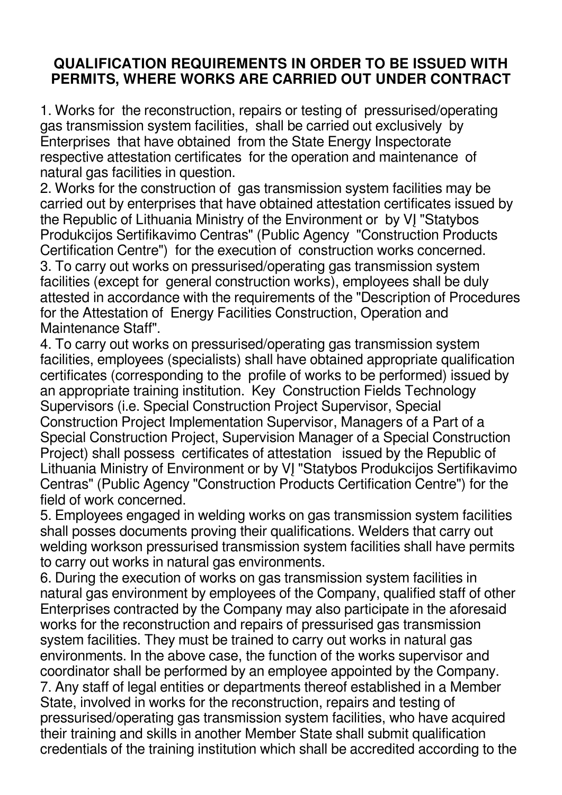## **QUALIFICATION REQUIREMENTS IN ORDER TO BE ISSUED WITH PERMITS, WHERE WORKS ARE CARRIED OUT UNDER CONTRACT**

1. Works for the reconstruction, repairs or testing of pressurised/operating gas transmission system facilities, shall be carried out exclusively by Enterprises that have obtained from the State Energy Inspectorate respective attestation certificates for the operation and maintenance of natural gas facilities in question.

2. Works for the construction of gas transmission system facilities may be carried out by enterprises that have obtained attestation certificates issued by the Republic of Lithuania Ministry of the Environment or by VĮ "Statybos Produkcijos Sertifikavimo Centras" (Public Agency "Construction Products Certification Centre") for the execution of construction works concerned. 3. To carry out works on pressurised/operating gas transmission system facilities (except for general construction works), employees shall be duly attested in accordance with the requirements of the "Description of Procedures for the Attestation of Energy Facilities Construction, Operation and Maintenance Staff".

4. To carry out works on pressurised/operating gas transmission system facilities, employees (specialists) shall have obtained appropriate qualification certificates (corresponding to the profile of works to be performed) issued by an appropriate training institution. Key Construction Fields Technology Supervisors (i.e. Special Construction Project Supervisor, Special Construction Project Implementation Supervisor, Managers of a Part of a Special Construction Project, Supervision Manager of a Special Construction Project) shall possess certificates of attestation issued by the Republic of Lithuania Ministry of Environment or by VĮ "Statybos Produkcijos Sertifikavimo Centras" (Public Agency "Construction Products Certification Centre") for the field of work concerned.

5. Employees engaged in welding works on gas transmission system facilities shall posses documents proving their qualifications. Welders that carry out welding workson pressurised transmission system facilities shall have permits to carry out works in natural gas environments.

6. During the execution of works on gas transmission system facilities in natural gas environment by employees of the Company, qualified staff of other Enterprises contracted by the Company may also participate in the aforesaid works for the reconstruction and repairs of pressurised gas transmission system facilities. They must be trained to carry out works in natural gas environments. In the above case, the function of the works supervisor and coordinator shall be performed by an employee appointed by the Company. 7. Any staff of legal entities or departments thereof established in a Member State, involved in works for the reconstruction, repairs and testing of pressurised/operating gas transmission system facilities, who have acquired their training and skills in another Member State shall submit qualification credentials of the training institution which shall be accredited according to the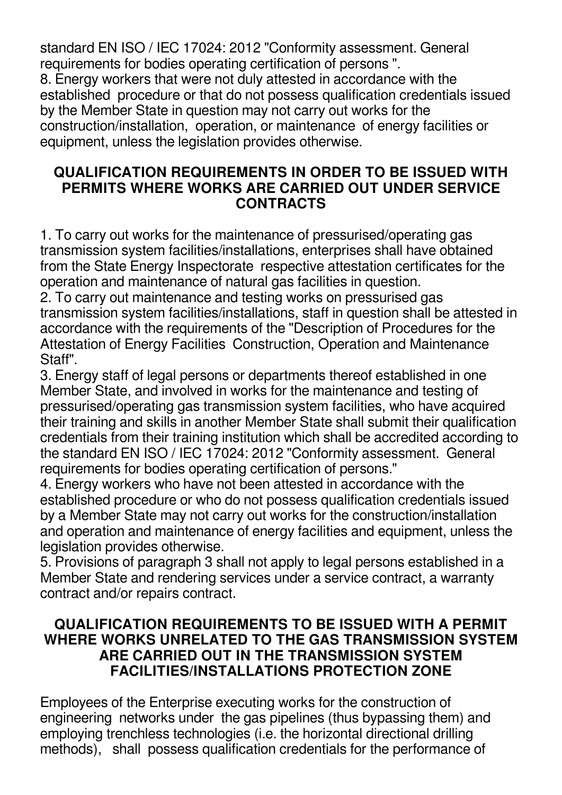standard EN ISO / IEC 17024: 2012 "Conformity assessment. General requirements for bodies operating certification of persons ". 8. Energy workers that were not duly attested in accordance with the established procedure or that do not possess qualification credentials issued by the Member State in question may not carry out works for the construction/installation, operation, or maintenance of energy facilities or equipment, unless the legislation provides otherwise.

## **QUALIFICATION REQUIREMENTS IN ORDER TO BE ISSUED WITH PERMITS WHERE WORKS ARE CARRIED OUT UNDER SERVICE CONTRACTS**

1. To carry out works for the maintenance of pressurised/operating gas transmission system facilities/installations, enterprises shall have obtained from the State Energy Inspectorate respective attestation certificates for the operation and maintenance of natural gas facilities in question.

2. To carry out maintenance and testing works on pressurised gas transmission system facilities/installations, staff in question shall be attested in accordance with the requirements of the "Description of Procedures for the Attestation of Energy Facilities Construction, Operation and Maintenance Staff".

3. Energy staff of legal persons or departments thereof established in one Member State, and involved in works for the maintenance and testing of pressurised/operating gas transmission system facilities, who have acquired their training and skills in another Member State shall submit their qualification credentials from their training institution which shall be accredited according to the standard EN ISO / IEC 17024: 2012 "Conformity assessment. General requirements for bodies operating certification of persons."

4. Energy workers who have not been attested in accordance with the established procedure or who do not possess qualification credentials issued by a Member State may not carry out works for the construction/installation and operation and maintenance of energy facilities and equipment, unless the legislation provides otherwise.

5. Provisions of paragraph 3 shall not apply to legal persons established in a Member State and rendering services under a service contract, a warranty contract and/or repairs contract.

## **QUALIFICATION REQUIREMENTS TO BE ISSUED WITH A PERMIT WHERE WORKS UNRELATED TO THE GAS TRANSMISSION SYSTEM ARE CARRIED OUT IN THE TRANSMISSION SYSTEM FACILITIES/INSTALLATIONS PROTECTION ZONE**

Employees of the Enterprise executing works for the construction of engineering networks under the gas pipelines (thus bypassing them) and employing trenchless technologies (i.e. the horizontal directional drilling methods), shall possess qualification credentials for the performance of